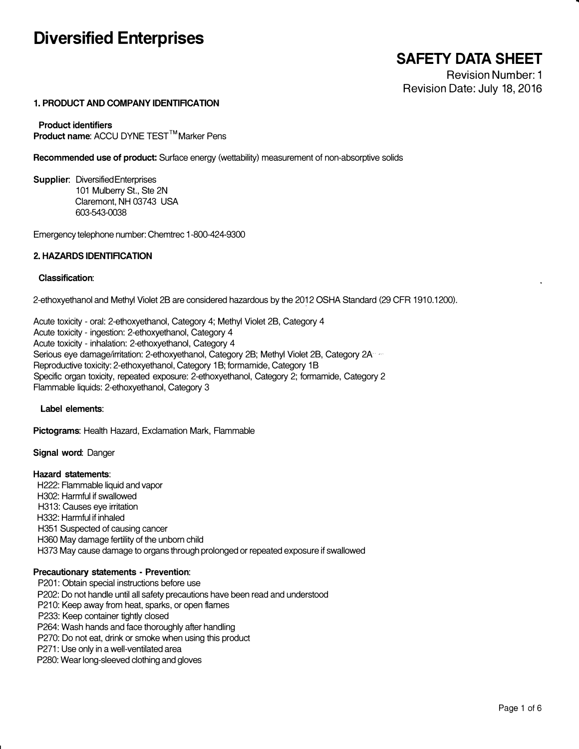# **Diversified Enterprises**

# **SAFETY DATA SHEET**

Revision Number: 1 Revision Date: July 18, 2016

# **1. PRODUCT AND COMPANY IDENTIRCATION**

**Product identifiers Product name: ACCU DYNE TEST™Marker Pens** 

**Recommended use of product:** Surface energy (wettability) measurement of non-absorptive solids

**Supplier:** Diversified Enterprises 101 Mulberry St., Ste 2N Claremont, NH 03743 USA 603-543-0038

Emergency telephone number: Chemtrec 1-800-424-9300

# **2. HAZARDS IDENTIRCATION**

#### **Classification:**

2-ethoxyethanol and Methyl Violet 28 are considered hazardous by the 2012 OSHA Standard (29 CFR 1910.1200).

Acute toxicity - oral: 2-ethoxyethanol, Category 4; Methyl Violet 28, Category 4 Acute toxicity - ingestion: 2-ethoxyethanol, Category 4 Acute toxicity - inhalation: 2-ethoxyethanol, Category 4 Serious eye damage/irritation: 2-ethoxyethanol, Category 2B; Methyl Violet 2B, Category 2A<sup>-1</sup> Reproductive toxicity: 2-ethoxyethanol, Category 18; formamide, Category 18 Specific organ toxicity, repeated exposure: 2-ethoxyethanol, Category 2; formamide, Category 2 Flammable liquids: 2-ethoxyethanol, Category 3

**Label elements:** 

**Pictograms:** Health Hazard, Exclamation Mark, Flammable

**Signal word:** Danger

## **Hazard statements:**

H222: Flammable liquid and vapor H302: Harmful if swallowed H313: Causes eye irritation H332: Harmful if inhaled H351 Suspected of causing cancer H360 May damage fertility of the unborn child H373 May cause damage to organs through prolonged or repeated exposure if swallowed

## **Precautionary statements • Prevention:**

P201: Obtain special instructions before use P202: Do not handle until all safety precautions have been read and understood P210: Keep away from heat, sparks, or open flames P233: Keep container tightly closed P264: Wash hands and face thoroughly after handling P270: Do not eat, drink or smoke when using this product P271: Use only in a well-ventilated area P280: Wear long-sleeved clothing and gloves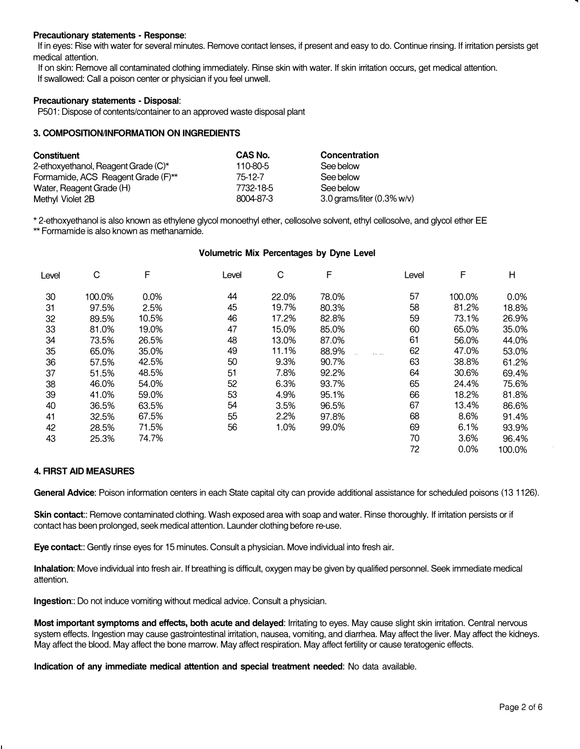#### **Precautionary statements - Response:**

If in eyes: Rise with water for several minutes. Remove contact lenses, if present and easy to do. Continue rinsing. If irritation persists get medical attention.

If on skin: Remove all contaminated clothing immediately. Rinse skin with water. If skin irritation occurs, get medical attention. If swallowed: Call a poison center or physician if you feel unwell.

#### **Precautionary statements - Disposal:**

P501: Dispose of contents/container to an approved waste disposal plant

## **3. COMPOSITION/INFORMATION ON INGREDIENTS**

| Constituent                         | CAS No.   | Concentration              |
|-------------------------------------|-----------|----------------------------|
| 2-ethoxyethanol, Reagent Grade (C)* | 110-80-5  | See below                  |
| Formamide, ACS Reagent Grade (F)**  | 75-12-7   | See below                  |
| Water, Reagent Grade (H)            | 7732-18-5 | See below                  |
| Methyl Violet 2B                    | 8004-87-3 | 3.0 grams/liter (0.3% w/v) |

\* 2-ethoxyethanol is also known as ethylene glycol monoethyl ether, cellosolve solvent, ethyl cellosolve, and glycol ether EE \*\* Formamide is also known as methanamide.

#### **Volumetric Mix Percentages by Dyne Level**

| Level | C      | F     | Level | C     | F     | Level | F      | Н      |
|-------|--------|-------|-------|-------|-------|-------|--------|--------|
| 30    | 100.0% | 0.0%  | 44    | 22.0% | 78.0% | 57    | 100.0% | 0.0%   |
| 31    | 97.5%  | 2.5%  | 45    | 19.7% | 80.3% | 58    | 81.2%  | 18.8%  |
| 32    | 89.5%  | 10.5% | 46    | 17.2% | 82.8% | 59    | 73.1%  | 26.9%  |
| 33    | 81.0%  | 19.0% | 47    | 15.0% | 85.0% | 60    | 65.0%  | 35.0%  |
| 34    | 73.5%  | 26.5% | 48    | 13.0% | 87.0% | 61    | 56.0%  | 44.0%  |
| 35    | 65.0%  | 35.0% | 49    | 11.1% | 88.9% | 62    | 47.0%  | 53.0%  |
| 36    | 57.5%  | 42.5% | 50    | 9.3%  | 90.7% | 63    | 38.8%  | 61.2%  |
| 37    | 51.5%  | 48.5% | 51    | 7.8%  | 92.2% | 64    | 30.6%  | 69.4%  |
| 38    | 46.0%  | 54.0% | 52    | 6.3%  | 93.7% | 65    | 24.4%  | 75.6%  |
| 39    | 41.0%  | 59.0% | 53    | 4.9%  | 95.1% | 66    | 18.2%  | 81.8%  |
| 40    | 36.5%  | 63.5% | 54    | 3.5%  | 96.5% | 67    | 13.4%  | 86.6%  |
| 41    | 32.5%  | 67.5% | 55    | 2.2%  | 97.8% | 68    | 8.6%   | 91.4%  |
| 42    | 28.5%  | 71.5% | 56    | 1.0%  | 99.0% | 69    | 6.1%   | 93.9%  |
| 43    | 25.3%  | 74.7% |       |       |       | 70    | 3.6%   | 96.4%  |
|       |        |       |       |       |       | 72    | 0.0%   | 100.0% |

#### **4. RRST AID MEASURES**

**General Advice:** Poison information centers in each State capital city can provide additional assistance for scheduled poisons (13 1126).

Skin contact:: Remove contaminated clothing. Wash exposed area with soap and water. Rinse thoroughly. If irritation persists or if contact has been prolonged, seek medical attention. Launder clothing before re-use.

**Eye contact::** Gently rinse eyes for 15 minutes. Consult a physician. Move individual into fresh air.

**Inhalation:** Move individual into fresh air. If breathing is difficult, oxygen may be given by qualified personnel. Seek immediate medical attention.

**Ingestion::** Do not induce vomiting without medical advice. Consult a physician.

**Most important symptoms and** effects, **both acute and delayed:** Irritating to eyes. May cause slight skin irritation. Central nervous system effects. Ingestion may cause gastrointestinal irritation, nausea, vomiting, and diarrhea. May affect the liver. May affect the kidneys. May affect the blood. May affect the bone marrow. May affect respiration. May affect fertility or cause teratogenic effects.

**Indication of any immediate medical attention and special treatment needed:** No data available.

..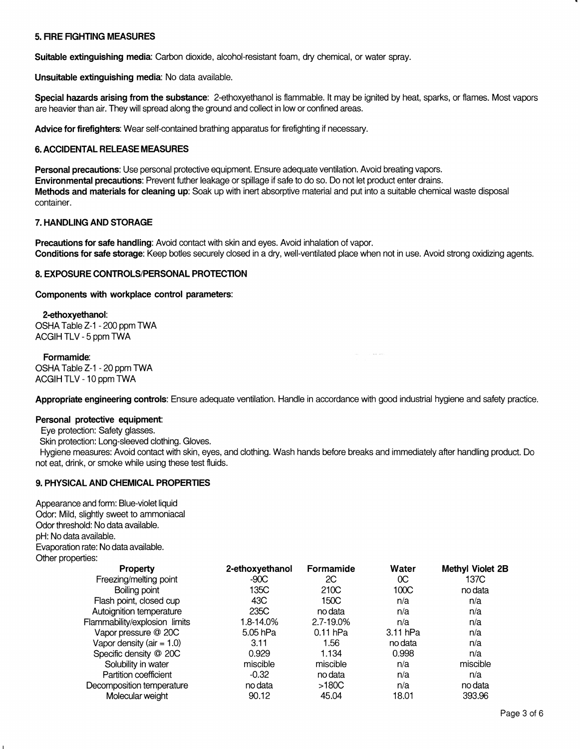## **5. FIRE FIGHTING MEASURES**

**Suitable extinguishing media:** Carbon dioxide, alcohol-resistant foam, dry chemical, or water spray.

**Unsuitable extinguishing media:** No data available.

**Special hazards arising from the substance:** 2-ethoxyethanol is flammable. It may be ignited by heat, sparks, or flames. Most vapors are heavier than air. They will spread along the ground and collect in low or confined areas.

**Advice for firefighters:** Wear self-contained brathing apparatus for firefighting if necessary.

## **6. ACCIDENTAL RELEASE MEASURES**

**Personal precautions:** Use personal protective equipment. Ensure adequate ventilation. Avoid breating vapors. **Environmental precautions:** Prevent futher leakage or spillage if safe to do so. Do not let product enter drains. **Methods and materials for cleaning up:** Soak up with inert absorptive material and put into a suitable chemical waste disposal container.

#### **7. HANDLING AND STORAGE**

**Precautions for safe handling:** Avoid contact with skin and eyes. Avoid inhalation of vapor. **Conditions for safe storage:** Keep botles securely closed in a dry, well-ventilated place when not in use. Avoid strong oxidizing agents.

#### **8. EXPOSURE CONTROLS/PERSONAL PROTECTION**

**Components with workplace control parameters:** 

# **2-ethoxyethanol:**

OSHA Table Z-1 - 200 ppm **TWA**  ACGIH TLV-5 ppm TWA

#### **Formamide:**

OSHA Table Z-1 - 20 ppm TWA **ACGIH** TLV-10 ppm TWA

**Appropriate engineering controls:** Ensure adequate ventilation. Handle in accordance with good industrial hygiene and safety practice.

a la ser

#### **Personal protective equipment:**

Eye protection: Safety glasses.

Skin protection: Long-sleeved clothing. Gloves.

Hygiene measures: Avoid contact with skin, eyes, and clothing. Wash hands before breaks and immediately after handling product. Do not eat, drink, or smoke while using these test fluids.

## **9. PHYSICAL AND CHEMICAL PROPERTIES**

Appearance and form: Blue-violet liquid Odor: Mild, slightly sweet to ammoniacal Odor threshold: No data available. pH: No data available. Evaporation rate: No data available. Other properties:

| <b>Property</b>               | 2-ethoxyethanol | Formamide  | Water      | <b>Methyl Violet 2B</b> |
|-------------------------------|-----------------|------------|------------|-------------------------|
| Freezing/melting point        | $-90C$          | 2C         | 0C         | 137C                    |
| Boiling point                 | 135C            | 210C       | 100C       | no data                 |
| Flash point, closed cup       | 43C             | 150C       | n/a        | n/a                     |
| Autoignition temperature      | 235C            | no data    | n/a        | n/a                     |
| Flammability/explosion limits | 1.8-14.0%       | 2.7-19.0%  | n/a        | n/a                     |
| Vapor pressure @ 20C          | 5.05 hPa        | $0.11$ hPa | $3.11$ hPa | n/a                     |
| Vapor density (air = $1.0$ )  | 3.11            | 1.56       | no data    | n/a                     |
| Specific density @ 20C        | 0.929           | 1.134      | 0.998      | n/a                     |
| Solubility in water           | miscible        | miscible   | n/a        | miscible                |
| Partition coefficient         | $-0.32$         | no data    | n/a        | n/a                     |
| Decomposition temperature     | no data         | >180C      | n/a        | no data                 |
| Molecular weight              | 90.12           | 45.04      | 18.01      | 393.96                  |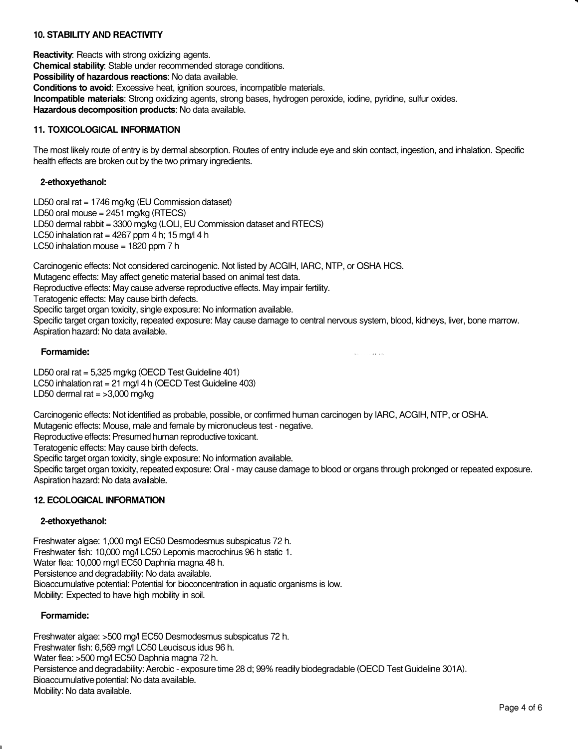# **10. STABILITY AND REACTIVITY**

**Reactivity:** Reacts with strong oxidizing agents. **Chemical stability:** Stable under recommended storage conditions. **Possibility** of **hazardous reactions:** No data available. **Conditions** to **avoid:** Excessive heat, ignition sources, incompatible materials. **Incompatible materials:** Strong oxidizing agents, strong bases, hydrogen peroxide, iodine, pyridine, sulfur oxides. **Hazardous decomposition products:** No data available.

## **11. TOXICOLOGICAL INFORMATION**

The most likely route of entry is by dermal absorption. Routes of entry include eye and skin contact, ingestion, and inhalation. Specific health effects are broken out by the two primary ingredients.

## **2-ethoxyethanol:**

LD50 oral rat =  $1746$  mg/kg (EU Commission dataset) LD50 oral mouse =  $2451$  mg/kg (RTECS) LD50 dermal rabbit = 3300 mg/kg (LOLI, EU Commission dataset and RTECS) LC50 inhalation rat =  $4267$  ppm 4 h; 15 mg/l 4 h LC50 inhalation mouse = 1820 ppm 7 h

Carcinogenic effects: Not considered carcinogenic. Not listed by ACGIH, IARC, NTP, or OSHA HCS. Mutagenc effects: May affect genetic material based on animal test data. Reproductive effects: May cause adverse reproductive effects. May impair fertility. Teratogenic effects: May cause birth defects. Specific target organ toxicity, single exposure: No information available. Specific target organ toxicity, repeated exposure: May cause damage to central nervous system, blood, kidneys, liver, bone marrow. Aspiration hazard: No data available.

**College State** 

#### **Formamide:**

LD50 oral rat= 5,325 mg/kg (OECD Test Guideline 401) LC50 inhalation rat =  $21 \text{ mg}/14$  h (OECD Test Guideline 403) LD50 dermal rat  $=$  >3,000 mg/kg

Carcinogenic effects: Not identified as probable, possible, or confirmed human carcinogen by IARC, ACGIH, NTP, or OSHA. Mutagenic effects: Mouse, male and female by micronucleus test - negative. Reproductive effects: Presumed human reproductive toxicant. Teratogenic effects: May cause birth defects. Specific target organ toxicity, single exposure: No information available. Specific target organ toxicity, repeated exposure: Oral - may cause damage to blood or organs through prolonged or repeated exposure. Aspiration hazard: No data available.

## **12. ECOLOGICAL INFORMATION**

## **2-ethoxyethanol:**

Freshwater algae: 1,000 mg/I EC50 Desmodesmus subspicatus 72 h. Freshwater fish: 10,000 mg/l LC50 Lepomis macrochirus 96 h static 1. Water flea: 10,000 mg/I EC50 Daphnia magna 48 h. Persistence and degradability: No data available. Bioaccumulative potential: Potential for bioconcentration in aquatic organisms is low. Mobility: Expected to have high mobility in soil.

#### **Formamide:**

Freshwater algae: >500 mg/l EC50 Desmodesmus subspicatus 72 h. Freshwater fish: 6,569 mg/I LC50 Leuciscus idus 96 h. Water flea: >500 mg/l EC50 Daphnia magna 72 h. Persistence and degradability: Aerobic - exposure time 28 d; 99% readily biodegradable (OECD Test Guideline 301A). Bioaccumulative potential: No data available. Mobility: No data available.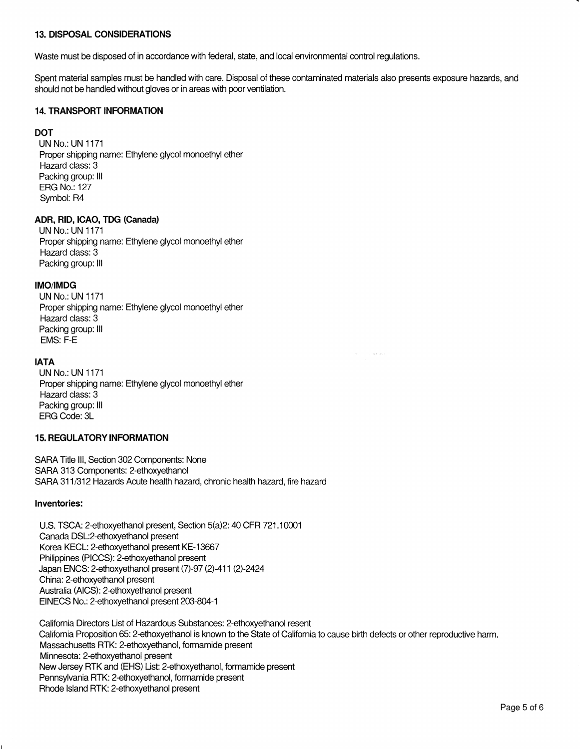# **13. DISPOSAL CONSIDERATIONS**

Waste must be disposed of in accordance with federal, state, and local environmental control regulations.

Spent material samples must be handled with care. Disposal of these contaminated materials also presents exposure hazards, and should not be handled without gloves or in areas with poor ventilation.

# **14. TRANSPORT INFORMATION**

# **DOT**

UN No.: UN 1171 Proper shipping name: Ethylene glycol monoethyl ether Hazard class: 3 Packing group: Ill ERG No.: 127 Symbol: R4

# **ADR, RID, ICAO, TDG (Canada)**

UN No.: UN 1171 Proper shipping name: Ethylene glycol monoethyl ether Hazard class: 3 Packing group: Ill

#### **IMO/IMDG**

UN No.: UN 1171 Proper shipping name: Ethylene glycol monoethyl ether Hazard class: 3 Packing group: Ill EMS: F-E

## **IATA**

UN No.: UN 1171 Proper shipping name: Ethylene glycol monoethyl ether Hazard class: 3 Packing group: Ill ERG Code: 3L

# **15. REGULATORY INFORMATION**

SARA Title 111, Section 302 Components: None SARA 313 Components: 2-ethoxyethanol SARA 311/312 Hazards Acute health hazard, chronic health hazard, fire hazard

## **Inventories:**

U.S. TSCA: 2-ethoxyethanol present, Section 5(a)2: 40 CFR 721.10001 Canada DSL:2-ethoxyethanol present Korea KECL: 2-ethoxyethanol present KE-13667 Philippines (PICCS): 2-ethoxyethanol present Japan ENCS: 2-ethoxyethanol present (7)-97 (2)-411 (2)-2424 China: 2-ethoxyethanol present Australia (AICS): 2-ethoxyethanol present EINECS No.: 2-ethoxyethanol present 203-804-1

California Directors List of Hazardous Substances: 2-ethoxyethanol resent California Proposition 65: 2-ethoxyethanol is known to the State of California to cause birth defects or other reproductive harm. Massachusetts RTK: 2-ethoxyethanol, formamide present Minnesota: 2-ethoxyethanol present New Jersey RTK and (EHS) List: 2-ethoxyethanol, formamide present Pennsylvania RTK: 2-ethoxyethanol, formamide present Rhode Island RTK: 2-ethoxyethanol present